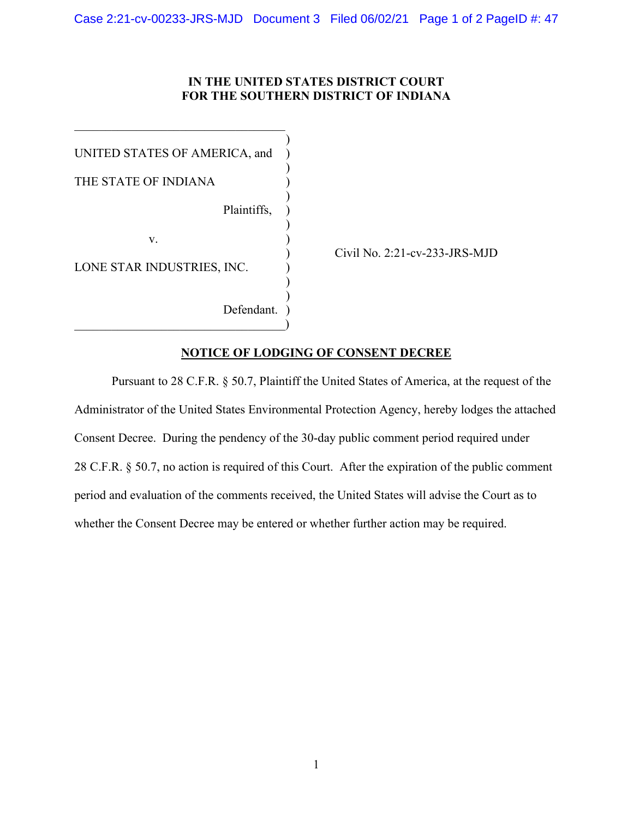## **IN THE UNITED STATES DISTRICT COURT FOR THE SOUTHERN DISTRICT OF INDIANA**

)

)

)

)

) )

UNITED STATES OF AMERICA, and )

 $\mathcal{L}_\mathcal{L}$  , which is a set of the set of the set of the set of the set of the set of the set of the set of the set of the set of the set of the set of the set of the set of the set of the set of the set of the set of

THE STATE OF INDIANA  $($ 

Plaintiffs, )

 $\mathbf{v}$ .  $\qquad \qquad$  )

LONE STAR INDUSTRIES, INC.

Defendant.  $\hspace{.5em}$   $\hspace{.5em}$   $\hspace{.5em}$   $\hspace{.5em}$   $\hspace{.5em}$   $\hspace{.5em}$  ) Civil No. 2:21-cv-233-JRS-MJD

## **NOTICE OF LODGING OF CONSENT DECREE**

Pursuant to 28 C.F.R. § 50.7, Plaintiff the United States of America, at the request of the Administrator of the United States Environmental Protection Agency, hereby lodges the attached Consent Decree. During the pendency of the 30-day public comment period required under 28 C.F.R. § 50.7, no action is required of this Court. After the expiration of the public comment period and evaluation of the comments received, the United States will advise the Court as to whether the Consent Decree may be entered or whether further action may be required.